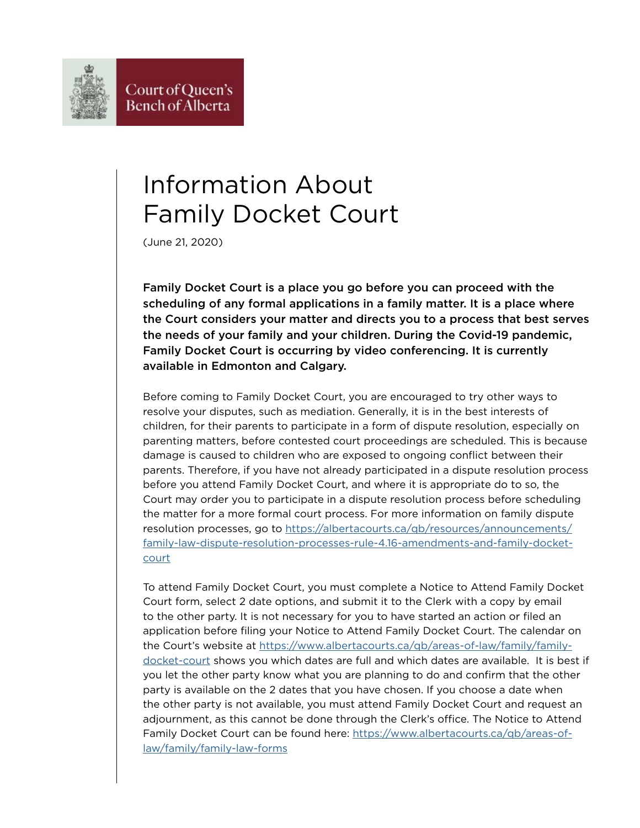## Information About Family Docket Court

(June 21, 2020)

Family Docket Court is a place you go before you can proceed with the scheduling of any formal applications in a family matter. It is a place where the Court considers your matter and directs you to a process that best serves the needs of your family and your children. During the Covid-19 pandemic, Family Docket Court is occurring by video conferencing. It is currently available in Edmonton and Calgary.

Before coming to Family Docket Court, you are encouraged to try other ways to resolve your disputes, such as mediation. Generally, it is in the best interests of children, for their parents to participate in a form of dispute resolution, especially on parenting matters, before contested court proceedings are scheduled. This is because damage is caused to children who are exposed to ongoing conflict between their parents. Therefore, if you have not already participated in a dispute resolution process before you attend Family Docket Court, and where it is appropriate do to so, the Court may order you to participate in a dispute resolution process before scheduling the matter for a more formal court process. For more information on family dispute resolution processes, go to [https://albertacourts.ca/qb/resources/announcements/](https://albertacourts.ca/qb/resources/announcements/family-law-dispute-resolution-processes-rule-4.16-amendments-and-family-docket-court) [family-law-dispute-resolution-processes-rule-4.16-amendments-and-family-docket](https://albertacourts.ca/qb/resources/announcements/family-law-dispute-resolution-processes-rule-4.16-amendments-and-family-docket-court)[court](https://albertacourts.ca/qb/resources/announcements/family-law-dispute-resolution-processes-rule-4.16-amendments-and-family-docket-court)

To attend Family Docket Court, you must complete a Notice to Attend Family Docket Court form, select 2 date options, and submit it to the Clerk with a copy by email to the other party. It is not necessary for you to have started an action or filed an application before filing your Notice to Attend Family Docket Court. The calendar on the Court's website at [https://www.albertacourts.ca/qb/areas-of-law/family/family](https://www.albertacourts.ca/qb/areas-of-law/family/family-docket-court)[docket-court](https://www.albertacourts.ca/qb/areas-of-law/family/family-docket-court) shows you which dates are full and which dates are available. It is best if you let the other party know what you are planning to do and confirm that the other party is available on the 2 dates that you have chosen. If you choose a date when the other party is not available, you must attend Family Docket Court and request an adjournment, as this cannot be done through the Clerk's office. The Notice to Attend Family Docket Court can be found here: [https://www.albertacourts.ca/qb/areas-of](https://www.albertacourts.ca/qb/areas-of-law/family/family-law-forms)[law/family/family-law-forms](https://www.albertacourts.ca/qb/areas-of-law/family/family-law-forms)